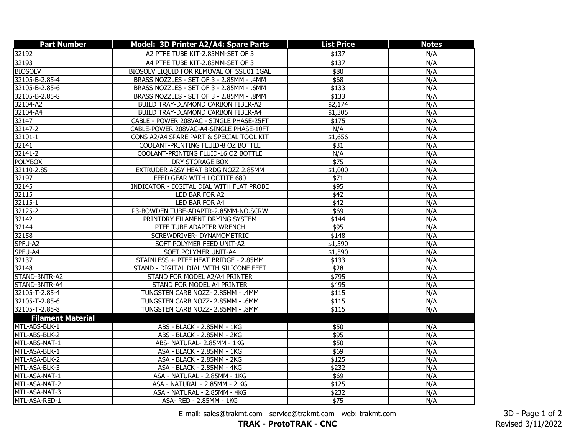| <b>Part Number</b>       | Model: 3D Printer A2/A4: Spare Parts     | <b>List Price</b> | <b>Notes</b> |
|--------------------------|------------------------------------------|-------------------|--------------|
| 32192                    | A2 PTFE TUBE KIT-2.85MM-SET OF 3         | \$137             | N/A          |
| 32193                    | A4 PTFE TUBE KIT-2.85MM-SET OF 3         | \$137             | N/A          |
| <b>BIOSOLV</b>           | BIOSOLV LIQUID FOR REMOVAL OF SSU01 1GAL | \$80              | N/A          |
| 32105-B-2.85-4           | BRASS NOZZLES - SET OF 3 - 2.85MM - .4MM | \$68              | N/A          |
| 32105-B-2.85-6           | BRASS NOZZLES - SET OF 3 - 2.85MM - .6MM | \$133             | N/A          |
| 32105-B-2.85-8           | BRASS NOZZLES - SET OF 3 - 2.85MM - .8MM | \$133             | N/A          |
| 32104-A2                 | BUILD TRAY-DIAMOND CARBON FIBER-A2       | \$2,174           | N/A          |
| 32104-A4                 | BUILD TRAY-DIAMOND CARBON FIBER-A4       | \$1,305           | N/A          |
| 32147                    | CABLE - POWER 208VAC - SINGLE PHASE-25FT | \$175             | N/A          |
| 32147-2                  | CABLE-POWER 208VAC-A4-SINGLE PHASE-10FT  | N/A               | N/A          |
| 32101-1                  | CONS A2/A4 SPARE PART & SPECIAL TOOL KIT | \$1,656           | N/A          |
| 32141                    | COOLANT-PRINTING FLUID-8 OZ BOTTLE       | \$31              | N/A          |
| 32141-2                  | COOLANT-PRINTING FLUID-16 OZ BOTTLE      | N/A               | N/A          |
| <b>POLYBOX</b>           | DRY STORAGE BOX                          | \$75              | N/A          |
| 32110-2.85               | EXTRUDER ASSY HEAT BRDG NOZZ 2.85MM      | \$1,000           | N/A          |
| 32197                    | FEED GEAR WITH LOCTITE 680               | \$71              | N/A          |
| 32145                    | INDICATOR - DIGITAL DIAL WITH FLAT PROBE | \$95              | N/A          |
| 32115                    | LED BAR FOR A2                           | $\sqrt{$42}$      | N/A          |
| $32115 - 1$              | LED BAR FOR A4                           | \$42              | N/A          |
| 32125-2<br>32142         | P3-BOWDEN TUBE-ADAPTR-2.85MM-NO.SCRW     | \$69              | N/A          |
|                          | PRINTDRY FILAMENT DRYING SYSTEM          | \$144             | N/A          |
| 32144                    | PTFE TUBE ADAPTER WRENCH                 | \$95              | N/A          |
| 32158                    | SCREWDRIVER- DYNAMOMETRIC                | \$148             | N/A          |
| SPFU-A2                  | SOFT POLYMER FEED UNIT-A2                | \$1,590           | N/A          |
| SPFU-A4                  | SOFT POLYMER UNIT-A4                     | \$1,590           | N/A          |
| 32137                    | STAINLESS + PTFE HEAT BRIDGE - 2.85MM    | \$133             | N/A          |
| 32148                    | STAND - DIGITAL DIAL WITH SILICONE FEET  | \$28              | N/A          |
| STAND-3NTR-A2            | STAND FOR MODEL A2/A4 PRINTER            | \$795             | N/A          |
| STAND-3NTR-A4            | STAND FOR MODEL A4 PRINTER               | \$495             | N/A          |
| 32105-T-2.85-4           | TUNGSTEN CARB NOZZ- 2.85MM - .4MM        | \$115             | N/A          |
| 32105-T-2.85-6           | TUNGSTEN CARB NOZZ- 2.85MM - .6MM        | \$115             | N/A          |
| 32105-T-2.85-8           | TUNGSTEN CARB NOZZ- 2.85MM - .8MM        | \$115             | N/A          |
| <b>Filament Material</b> |                                          |                   |              |
| MTL-ABS-BLK-1            | ABS - BLACK - 2.85MM - 1KG               | \$50              | N/A          |
| MTL-ABS-BLK-2            | ABS - BLACK - 2.85MM - 2KG               | \$95              | N/A          |
| MTL-ABS-NAT-1            | ABS- NATURAL- 2.85MM - 1KG               | \$50              | N/A          |
| MTL-ASA-BLK-1            | ASA - BLACK - 2.85MM - 1KG               | \$69              | N/A          |
| MTL-ASA-BLK-2            | ASA - BLACK - 2.85MM - 2KG               | \$125             | N/A          |
| MTL-ASA-BLK-3            | ASA - BLACK - 2.85MM - 4KG               | \$232             | N/A          |
| MTL-ASA-NAT-1            | ASA - NATURAL - 2.85MM - 1KG             | \$69              | N/A          |
| MTL-ASA-NAT-2            | ASA - NATURAL - 2.85MM - 2 KG            | \$125             | N/A          |
| MTL-ASA-NAT-3            | ASA - NATURAL - 2.85MM - 4KG             | \$232             | N/A          |
| MTL-ASA-RED-1            | ASA- RED - 2.85MM - 1KG                  | \$75              | N/A          |

E-mail: sales@trakmt.com - service@trakmt.com - web: trakmt.com